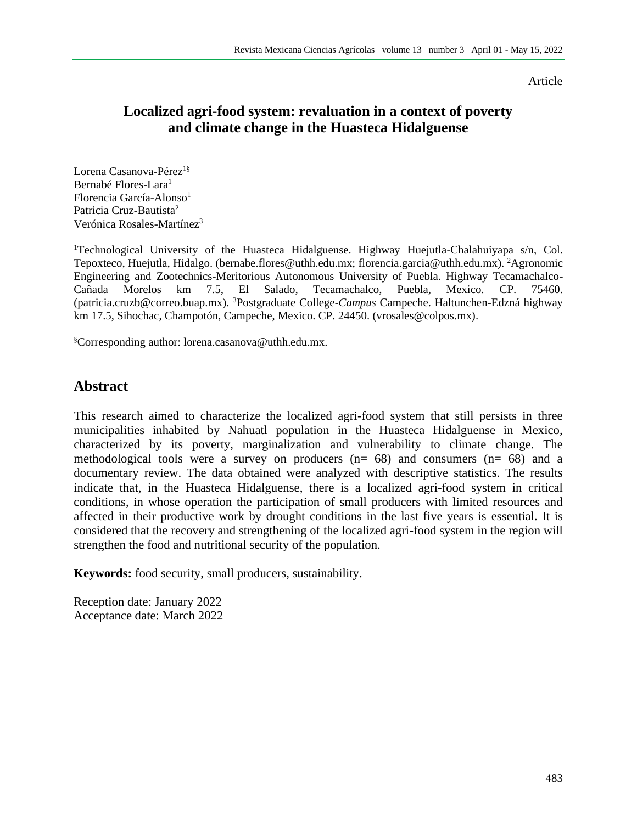#### Article

# **Localized agri-food system: revaluation in a context of poverty and climate change in the Huasteca Hidalguense**

Lorena Casanova-Pérez<sup>1§</sup> Bernabé Flores-Lara<sup>1</sup> Florencia García-Alonso<sup>1</sup> Patricia Cruz-Bautista<sup>2</sup> Verónica Rosales-Martínez<sup>3</sup>

<sup>1</sup>Technological University of the Huasteca Hidalguense. Highway Huejutla-Chalahuiyapa s/n, Col. Tepoxteco, Huejutla, Hidalgo. [\(bernabe.flores@uthh.edu.mx;](mailto:bernabe.flores@uthh.edu.mx) [florencia.garcia@uthh.edu.mx\)](mailto:florencia.garcia@uthh.edu.mx). <sup>2</sup>Agronomic Engineering and Zootechnics-Meritorious Autonomous University of Puebla. Highway Tecamachalco-Cañada Morelos km 7.5, El Salado, Tecamachalco, Puebla, Mexico. CP. 75460. [\(patricia.cruzb@correo.buap.mx\)](mailto:patricia.cruzb@correo.buap.mx). <sup>3</sup>Postgraduate College-*Campus* Campeche. Haltunchen-Edzná highway km 17.5, Sihochac, Champotón, Campeche, Mexico. CP. 24450. [\(vrosales@colpos.mx\)](mailto:vrosales@colpos.mx).

§Corresponding author: [lorena.casanova@uthh.edu.mx.](mailto:lorena.casanova@uthh.edu.mx)

# **Abstract**

This research aimed to characterize the localized agri-food system that still persists in three municipalities inhabited by Nahuatl population in the Huasteca Hidalguense in Mexico, characterized by its poverty, marginalization and vulnerability to climate change. The methodological tools were a survey on producers (n= 68) and consumers (n= 68) and a documentary review. The data obtained were analyzed with descriptive statistics. The results indicate that, in the Huasteca Hidalguense, there is a localized agri-food system in critical conditions, in whose operation the participation of small producers with limited resources and affected in their productive work by drought conditions in the last five years is essential. It is considered that the recovery and strengthening of the localized agri-food system in the region will strengthen the food and nutritional security of the population.

**Keywords:** food security, small producers, sustainability.

Reception date: January 2022 Acceptance date: March 2022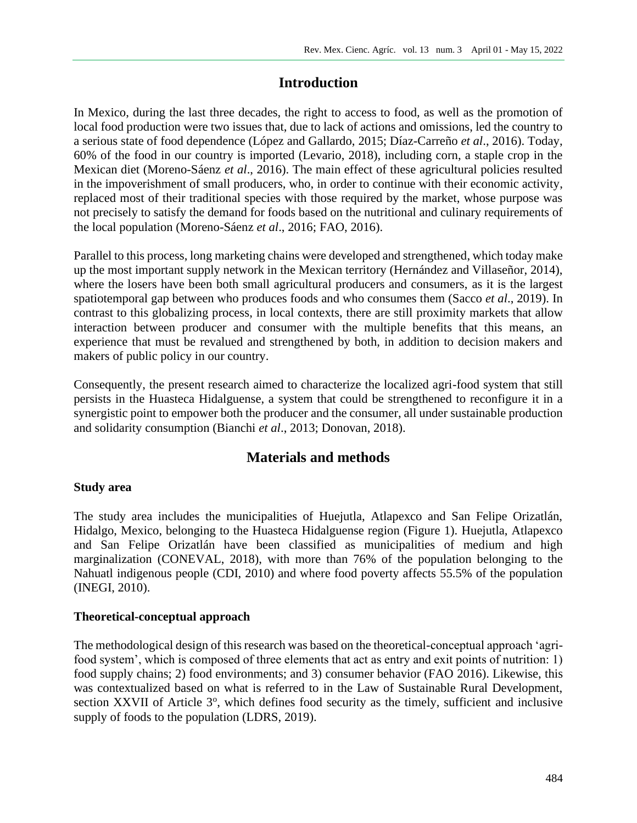# **Introduction**

In Mexico, during the last three decades, the right to access to food, as well as the promotion of local food production were two issues that, due to lack of actions and omissions, led the country to a serious state of food dependence (López and Gallardo, 2015; Díaz-Carreño *et al*., 2016). Today, 60% of the food in our country is imported (Levario, 2018), including corn, a staple crop in the Mexican diet (Moreno-Sáenz *et al*., 2016). The main effect of these agricultural policies resulted in the impoverishment of small producers, who, in order to continue with their economic activity, replaced most of their traditional species with those required by the market, whose purpose was not precisely to satisfy the demand for foods based on the nutritional and culinary requirements of the local population (Moreno-Sáenz *et al*., 2016; FAO, 2016).

Parallel to this process, long marketing chains were developed and strengthened, which today make up the most important supply network in the Mexican territory (Hernández and Villaseñor, 2014), where the losers have been both small agricultural producers and consumers, as it is the largest spatiotemporal gap between who produces foods and who consumes them (Sacco *et al*., 2019). In contrast to this globalizing process, in local contexts, there are still proximity markets that allow interaction between producer and consumer with the multiple benefits that this means, an experience that must be revalued and strengthened by both, in addition to decision makers and makers of public policy in our country.

Consequently, the present research aimed to characterize the localized agri-food system that still persists in the Huasteca Hidalguense, a system that could be strengthened to reconfigure it in a synergistic point to empower both the producer and the consumer, all under sustainable production and solidarity consumption (Bianchi *et al*., 2013; Donovan, 2018).

# **Materials and methods**

# **Study area**

The study area includes the municipalities of Huejutla, Atlapexco and San Felipe Orizatlán, Hidalgo, Mexico, belonging to the Huasteca Hidalguense region (Figure 1). Huejutla, Atlapexco and San Felipe Orizatlán have been classified as municipalities of medium and high marginalization (CONEVAL, 2018), with more than 76% of the population belonging to the Nahuatl indigenous people (CDI, 2010) and where food poverty affects 55.5% of the population (INEGI, 2010).

## **Theoretical-conceptual approach**

The methodological design of this research was based on the theoretical-conceptual approach 'agrifood system', which is composed of three elements that act as entry and exit points of nutrition: 1) food supply chains; 2) food environments; and 3) consumer behavior (FAO 2016). Likewise, this was contextualized based on what is referred to in the Law of Sustainable Rural Development, section XXVII of Article 3°, which defines food security as the timely, sufficient and inclusive supply of foods to the population (LDRS, 2019).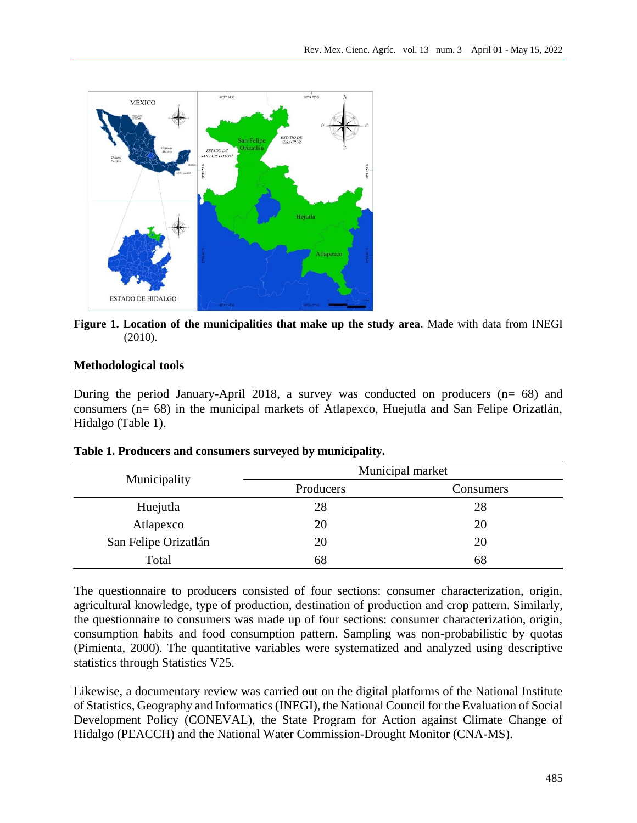

**Figure 1. Location of the municipalities that make up the study area**. Made with data from INEGI (2010).

## **Methodological tools**

During the period January-April 2018, a survey was conducted on producers (n= 68) and consumers (n= 68) in the municipal markets of Atlapexco, Huejutla and San Felipe Orizatlán, Hidalgo (Table 1).

|                      | Municipal market |           |  |  |
|----------------------|------------------|-----------|--|--|
| Municipality         | Producers        | Consumers |  |  |
| Huejutla             | 28               | 28        |  |  |
| Atlapexco            | 20               | 20        |  |  |
| San Felipe Orizatlán | 20               | 20        |  |  |
| Total                | 68               | 68        |  |  |

### **Table 1. Producers and consumers surveyed by municipality.**

The questionnaire to producers consisted of four sections: consumer characterization, origin, agricultural knowledge, type of production, destination of production and crop pattern. Similarly, the questionnaire to consumers was made up of four sections: consumer characterization, origin, consumption habits and food consumption pattern. Sampling was non-probabilistic by quotas (Pimienta, 2000). The quantitative variables were systematized and analyzed using descriptive statistics through Statistics V25.

Likewise, a documentary review was carried out on the digital platforms of the National Institute of Statistics, Geography and Informatics (INEGI), the National Council for the Evaluation of Social Development Policy (CONEVAL), the State Program for Action against Climate Change of Hidalgo (PEACCH) and the National Water Commission-Drought Monitor (CNA-MS).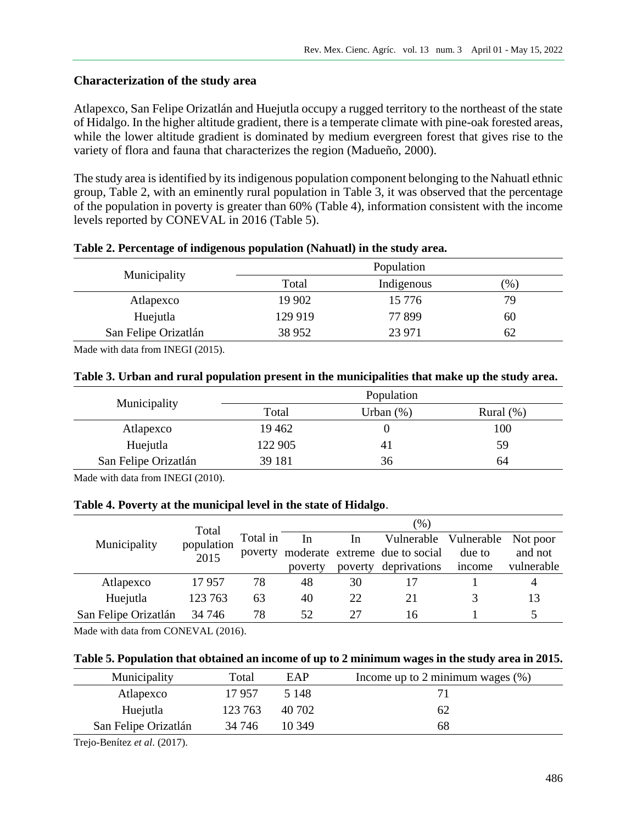### **Characterization of the study area**

Atlapexco, San Felipe Orizatlán and Huejutla occupy a rugged territory to the northeast of the state of Hidalgo. In the higher altitude gradient, there is a temperate climate with pine-oak forested areas, while the lower altitude gradient is dominated by medium evergreen forest that gives rise to the variety of flora and fauna that characterizes the region (Madueño, 2000).

The study area is identified by its indigenous population component belonging to the Nahuatl ethnic group, Table 2, with an eminently rural population in Table 3, it was observed that the percentage of the population in poverty is greater than 60% (Table 4), information consistent with the income levels reported by CONEVAL in 2016 (Table 5).

|                      | Population |            |         |  |  |
|----------------------|------------|------------|---------|--|--|
| Municipality         | Total      | Indigenous | $(\% )$ |  |  |
| Atlapexco            | 19 902     | 15 7 7 6   | 79      |  |  |
| Huejutla             | 129 919    | 77899      | 60      |  |  |
| San Felipe Orizatlán | 38 952     | 23 971     | 62      |  |  |

#### **Table 2. Percentage of indigenous population (Nahuatl) in the study area.**

Made with data from INEGI (2015).

### **Table 3. Urban and rural population present in the municipalities that make up the study area.**

| Municipality         |         | Population   |              |
|----------------------|---------|--------------|--------------|
|                      | Total   | Urban $(\%)$ | Rural $(\%)$ |
| Atlapexco            | 19462   |              | 100          |
| Huejutla             | 122 905 | 41           | 59           |
| San Felipe Orizatlán | 39 181  | 36           | 64           |

Made with data from INEGI (2010).

#### **Table 4. Poverty at the municipal level in the state of Hidalgo**.

|                      | Total      |          | $\mathcal{O}(6)$ |         |                                        |        |            |
|----------------------|------------|----------|------------------|---------|----------------------------------------|--------|------------|
| Municipality         | population | Total in | In               | In      | Vulnerable Vulnerable                  |        | Not poor   |
|                      | 2015       |          |                  |         | poverty moderate extreme due to social | due to | and not    |
|                      |            |          | poverty          | poverty | deprivations                           | income | vulnerable |
| Atlapexco            | 17957      | 78       | 48               | 30      |                                        |        | 4          |
| Huejutla             | 123 763    | 63       | 40               | 22      | 21                                     |        | 13         |
| San Felipe Orizatlán | 34 74 6    | 78       | 52               | 27      | 16                                     |        |            |

Made with data from CONEVAL (2016).

#### **Table 5. Population that obtained an income of up to 2 minimum wages in the study area in 2015.**

| Municipality         | Total   | EAP     | Income up to 2 minimum wages $(\%)$ |
|----------------------|---------|---------|-------------------------------------|
| Atlapexco            | 17957   | 5 1 4 8 |                                     |
| Huejutla             | 123 763 | 40 702  | 62                                  |
| San Felipe Orizatlán | 34 746  | 10.349  | 68                                  |

Trejo-Benítez *et al*. (2017).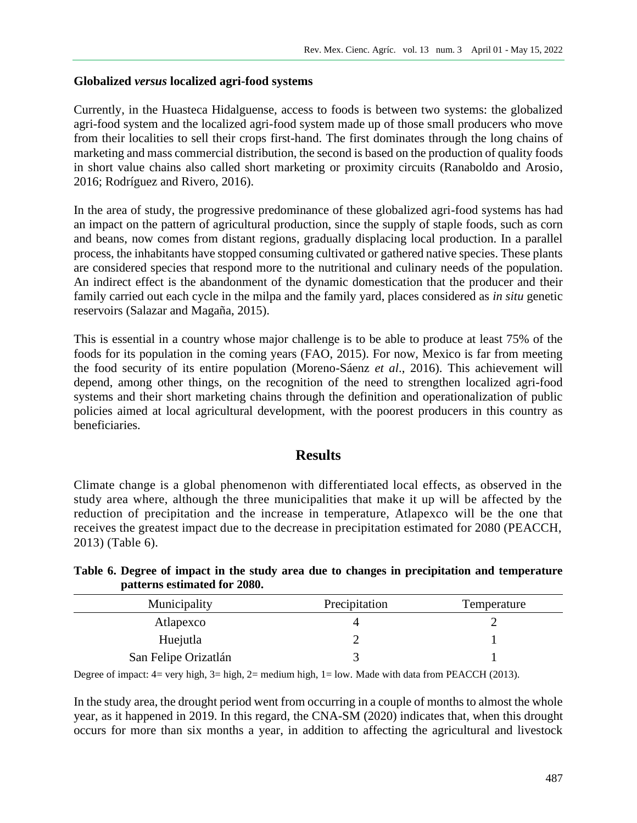### **Globalized** *versus* **localized agri-food systems**

Currently, in the Huasteca Hidalguense, access to foods is between two systems: the globalized agri-food system and the localized agri-food system made up of those small producers who move from their localities to sell their crops first-hand. The first dominates through the long chains of marketing and mass commercial distribution, the second is based on the production of quality foods in short value chains also called short marketing or proximity circuits (Ranaboldo and Arosio, 2016; Rodríguez and Rivero, 2016).

In the area of study, the progressive predominance of these globalized agri-food systems has had an impact on the pattern of agricultural production, since the supply of staple foods, such as corn and beans, now comes from distant regions, gradually displacing local production. In a parallel process, the inhabitants have stopped consuming cultivated or gathered native species. These plants are considered species that respond more to the nutritional and culinary needs of the population. An indirect effect is the abandonment of the dynamic domestication that the producer and their family carried out each cycle in the milpa and the family yard, places considered as *in situ* genetic reservoirs (Salazar and Magaña, 2015).

This is essential in a country whose major challenge is to be able to produce at least 75% of the foods for its population in the coming years (FAO, 2015). For now, Mexico is far from meeting the food security of its entire population (Moreno-Sáenz *et al*., 2016). This achievement will depend, among other things, on the recognition of the need to strengthen localized agri-food systems and their short marketing chains through the definition and operationalization of public policies aimed at local agricultural development, with the poorest producers in this country as beneficiaries.

# **Results**

Climate change is a global phenomenon with differentiated local effects, as observed in the study area where, although the three municipalities that make it up will be affected by the reduction of precipitation and the increase in temperature, Atlapexco will be the one that receives the greatest impact due to the decrease in precipitation estimated for 2080 (PEACCH, 2013) (Table 6).

**Table 6. Degree of impact in the study area due to changes in precipitation and temperature patterns estimated for 2080.**

| Municipality         | Precipitation | Temperature |
|----------------------|---------------|-------------|
| Atlapexco            |               |             |
| Huejutla             |               |             |
| San Felipe Orizatlán |               |             |

Degree of impact: 4= very high, 3= high, 2= medium high, 1= low. Made with data from PEACCH (2013).

In the study area, the drought period went from occurring in a couple of months to almost the whole year, as it happened in 2019. In this regard, the CNA-SM (2020) indicates that, when this drought occurs for more than six months a year, in addition to affecting the agricultural and livestock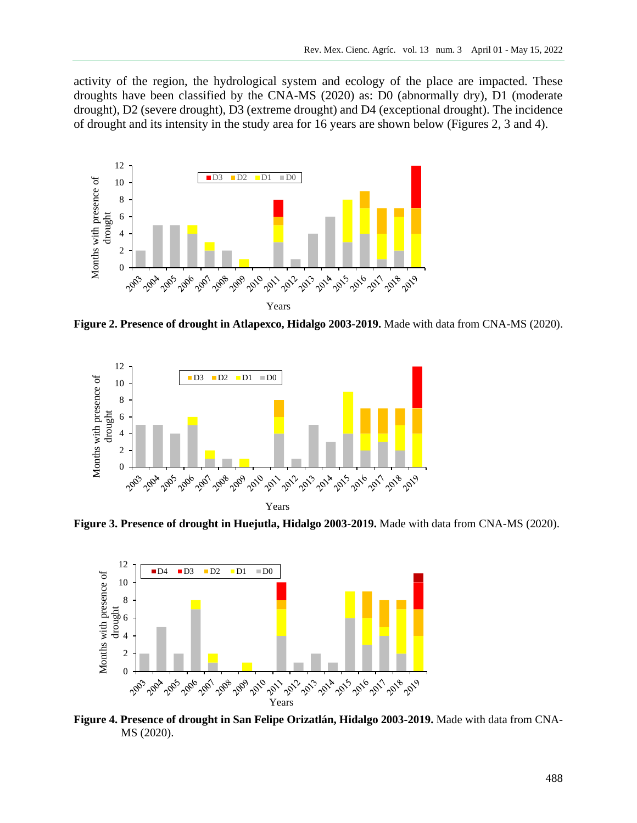activity of the region, the hydrological system and ecology of the place are impacted. These droughts have been classified by the CNA-MS (2020) as: D0 (abnormally dry), D1 (moderate drought), D2 (severe drought), D3 (extreme drought) and D4 (exceptional drought). The incidence of drought and its intensity in the study area for 16 years are shown below (Figures 2, 3 and 4).



**Figure 2. Presence of drought in Atlapexco, Hidalgo 2003-2019.** Made with data from CNA-MS (2020).



**Figure 3. Presence of drought in Huejutla, Hidalgo 2003-2019.** Made with data from CNA-MS (2020).



**Figure 4. Presence of drought in San Felipe Orizatlán, Hidalgo 2003-2019.** Made with data from CNA-MS (2020).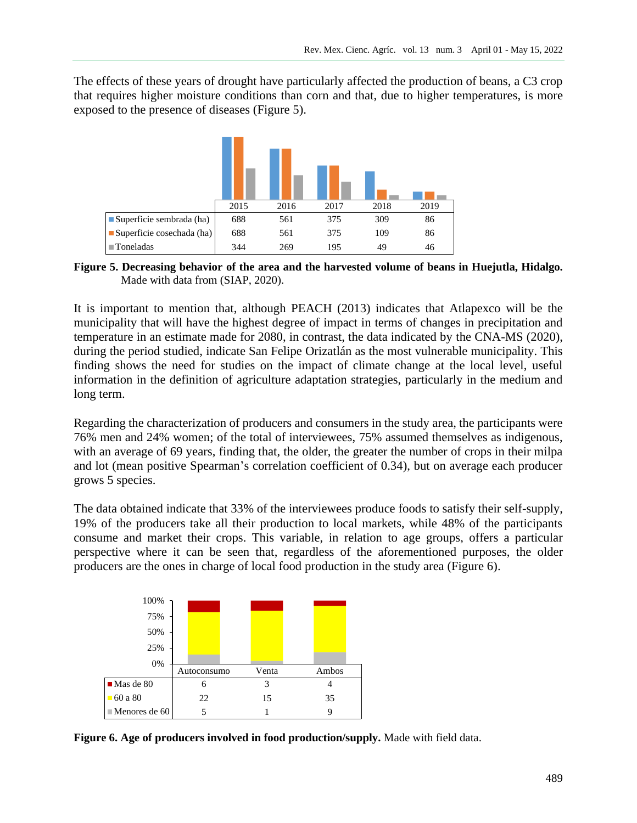The effects of these years of drought have particularly affected the production of beans, a C3 crop that requires higher moisture conditions than corn and that, due to higher temperatures, is more exposed to the presence of diseases (Figure 5).



**Figure 5. Decreasing behavior of the area and the harvested volume of beans in Huejutla, Hidalgo.** Made with data from (SIAP, 2020).

It is important to mention that, although PEACH (2013) indicates that Atlapexco will be the municipality that will have the highest degree of impact in terms of changes in precipitation and temperature in an estimate made for 2080, in contrast, the data indicated by the CNA-MS (2020), during the period studied, indicate San Felipe Orizatlán as the most vulnerable municipality. This finding shows the need for studies on the impact of climate change at the local level, useful information in the definition of agriculture adaptation strategies, particularly in the medium and long term.

Regarding the characterization of producers and consumers in the study area, the participants were 76% men and 24% women; of the total of interviewees, 75% assumed themselves as indigenous, with an average of 69 years, finding that, the older, the greater the number of crops in their milpa and lot (mean positive Spearman's correlation coefficient of 0.34), but on average each producer grows 5 species.

The data obtained indicate that 33% of the interviewees produce foods to satisfy their self-supply, 19% of the producers take all their production to local markets, while 48% of the participants consume and market their crops. This variable, in relation to age groups, offers a particular perspective where it can be seen that, regardless of the aforementioned purposes, the older producers are the ones in charge of local food production in the study area (Figure 6).



**Figure 6. Age of producers involved in food production/supply.** Made with field data.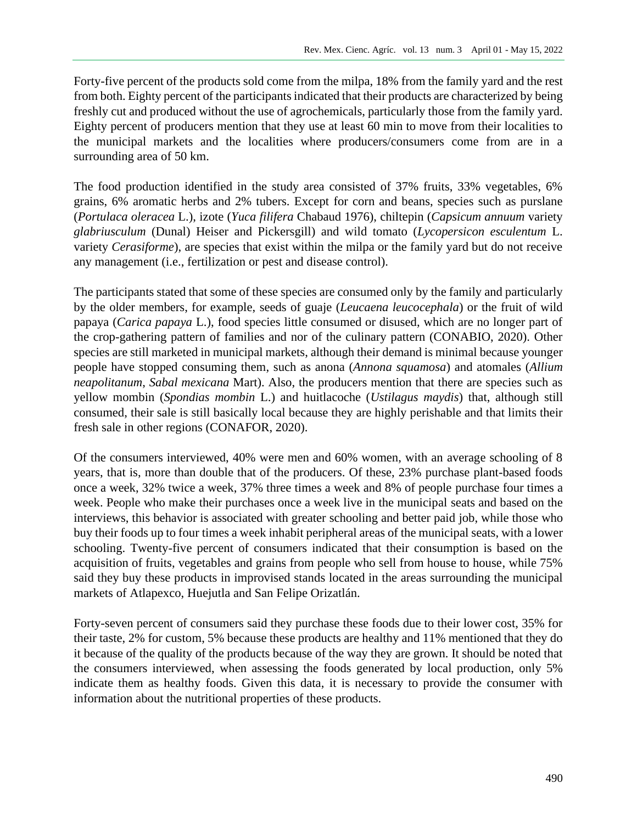Forty-five percent of the products sold come from the milpa, 18% from the family yard and the rest from both. Eighty percent of the participants indicated that their products are characterized by being freshly cut and produced without the use of agrochemicals, particularly those from the family yard. Eighty percent of producers mention that they use at least 60 min to move from their localities to the municipal markets and the localities where producers/consumers come from are in a surrounding area of 50 km.

The food production identified in the study area consisted of 37% fruits, 33% vegetables, 6% grains, 6% aromatic herbs and 2% tubers. Except for corn and beans, species such as purslane (*Portulaca oleracea* L.), izote (*Yuca filifera* Chabaud 1976), chiltepin (*Capsicum annuum* variety *glabriusculum* (Dunal) Heiser and Pickersgill) and wild tomato (*Lycopersicon esculentum* L. variety *Cerasiforme*), are species that exist within the milpa or the family yard but do not receive any management (i.e., fertilization or pest and disease control).

The participants stated that some of these species are consumed only by the family and particularly by the older members, for example, seeds of guaje (*Leucaena leucocephala*) or the fruit of wild papaya (*Carica papaya* L.), food species little consumed or disused, which are no longer part of the crop-gathering pattern of families and nor of the culinary pattern (CONABIO, 2020). Other species are still marketed in municipal markets, although their demand is minimal because younger people have stopped consuming them, such as anona (*Annona squamosa*) and atomales (*Allium neapolitanum*, *Sabal mexicana* Mart). Also, the producers mention that there are species such as yellow mombin (*Spondias mombin* L.) and huitlacoche (*Ustilagus maydis*) that, although still consumed, their sale is still basically local because they are highly perishable and that limits their fresh sale in other regions (CONAFOR, 2020).

Of the consumers interviewed, 40% were men and 60% women, with an average schooling of 8 years, that is, more than double that of the producers. Of these, 23% purchase plant-based foods once a week, 32% twice a week, 37% three times a week and 8% of people purchase four times a week. People who make their purchases once a week live in the municipal seats and based on the interviews, this behavior is associated with greater schooling and better paid job, while those who buy their foods up to four times a week inhabit peripheral areas of the municipal seats, with a lower schooling. Twenty-five percent of consumers indicated that their consumption is based on the acquisition of fruits, vegetables and grains from people who sell from house to house, while 75% said they buy these products in improvised stands located in the areas surrounding the municipal markets of Atlapexco, Huejutla and San Felipe Orizatlán.

Forty-seven percent of consumers said they purchase these foods due to their lower cost, 35% for their taste, 2% for custom, 5% because these products are healthy and 11% mentioned that they do it because of the quality of the products because of the way they are grown. It should be noted that the consumers interviewed, when assessing the foods generated by local production, only 5% indicate them as healthy foods. Given this data, it is necessary to provide the consumer with information about the nutritional properties of these products.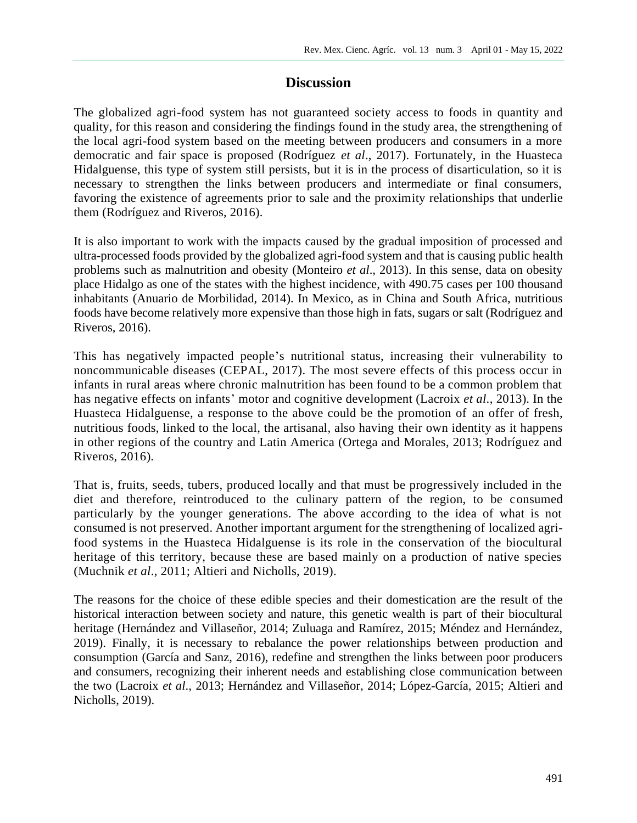# **Discussion**

The globalized agri-food system has not guaranteed society access to foods in quantity and quality, for this reason and considering the findings found in the study area, the strengthening of the local agri-food system based on the meeting between producers and consumers in a more democratic and fair space is proposed (Rodríguez *et al*., 2017). Fortunately, in the Huasteca Hidalguense, this type of system still persists, but it is in the process of disarticulation, so it is necessary to strengthen the links between producers and intermediate or final consumers, favoring the existence of agreements prior to sale and the proximity relationships that underlie them (Rodríguez and Riveros, 2016).

It is also important to work with the impacts caused by the gradual imposition of processed and ultra-processed foods provided by the globalized agri-food system and that is causing public health problems such as malnutrition and obesity (Monteiro *et al*., 2013). In this sense, data on obesity place Hidalgo as one of the states with the highest incidence, with 490.75 cases per 100 thousand inhabitants (Anuario de Morbilidad, 2014). In Mexico, as in China and South Africa, nutritious foods have become relatively more expensive than those high in fats, sugars or salt (Rodríguez and Riveros, 2016).

This has negatively impacted people's nutritional status, increasing their vulnerability to noncommunicable diseases (CEPAL, 2017). The most severe effects of this process occur in infants in rural areas where chronic malnutrition has been found to be a common problem that has negative effects on infants' motor and cognitive development (Lacroix *et al*., 2013). In the Huasteca Hidalguense, a response to the above could be the promotion of an offer of fresh, nutritious foods, linked to the local, the artisanal, also having their own identity as it happens in other regions of the country and Latin America (Ortega and Morales, 2013; Rodríguez and Riveros, 2016).

That is, fruits, seeds, tubers, produced locally and that must be progressively included in the diet and therefore, reintroduced to the culinary pattern of the region, to be consumed particularly by the younger generations. The above according to the idea of what is not consumed is not preserved. Another important argument for the strengthening of localized agrifood systems in the Huasteca Hidalguense is its role in the conservation of the biocultural heritage of this territory, because these are based mainly on a production of native species (Muchnik *et al*., 2011; Altieri and Nicholls, 2019).

The reasons for the choice of these edible species and their domestication are the result of the historical interaction between society and nature, this genetic wealth is part of their biocultural heritage (Hernández and Villaseñor, 2014; Zuluaga and Ramírez, 2015; Méndez and Hernández, 2019). Finally, it is necessary to rebalance the power relationships between production and consumption (García and Sanz, 2016), redefine and strengthen the links between poor producers and consumers, recognizing their inherent needs and establishing close communication between the two (Lacroix *et al*., 2013; Hernández and Villaseñor, 2014; López-García, 2015; Altieri and Nicholls, 2019).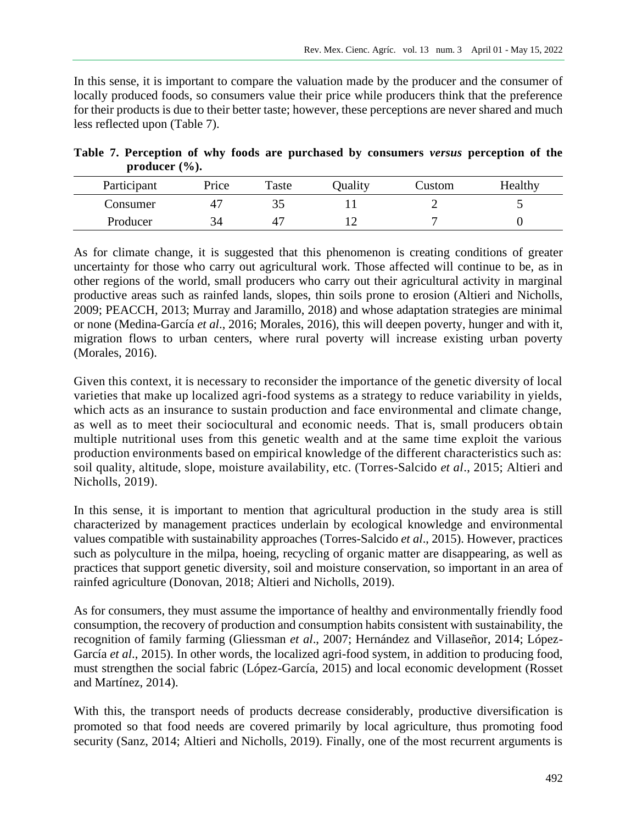In this sense, it is important to compare the valuation made by the producer and the consumer of locally produced foods, so consumers value their price while producers think that the preference for their products is due to their better taste; however, these perceptions are never shared and much less reflected upon (Table 7).

**Table 7. Perception of why foods are purchased by consumers** *versus* **perception of the producer (%).**

| Participant | Price | Taste | Quality | Custom | Healthy |
|-------------|-------|-------|---------|--------|---------|
| Consumer    |       |       |         |        |         |
| Producer    | 94    |       |         |        |         |

As for climate change, it is suggested that this phenomenon is creating conditions of greater uncertainty for those who carry out agricultural work. Those affected will continue to be, as in other regions of the world, small producers who carry out their agricultural activity in marginal productive areas such as rainfed lands, slopes, thin soils prone to erosion (Altieri and Nicholls, 2009; PEACCH, 2013; Murray and Jaramillo, 2018) and whose adaptation strategies are minimal or none (Medina-García *et al*., 2016; Morales, 2016), this will deepen poverty, hunger and with it, migration flows to urban centers, where rural poverty will increase existing urban poverty (Morales, 2016).

Given this context, it is necessary to reconsider the importance of the genetic diversity of local varieties that make up localized agri-food systems as a strategy to reduce variability in yields, which acts as an insurance to sustain production and face environmental and climate change, as well as to meet their sociocultural and economic needs. That is, small producers obtain multiple nutritional uses from this genetic wealth and at the same time exploit the various production environments based on empirical knowledge of the different characteristics such as: soil quality, altitude, slope, moisture availability, etc. (Torres-Salcido *et al*., 2015; Altieri and Nicholls, 2019).

In this sense, it is important to mention that agricultural production in the study area is still characterized by management practices underlain by ecological knowledge and environmental values compatible with sustainability approaches (Torres-Salcido *et al*., 2015). However, practices such as polyculture in the milpa, hoeing, recycling of organic matter are disappearing, as well as practices that support genetic diversity, soil and moisture conservation, so important in an area of rainfed agriculture (Donovan, 2018; Altieri and Nicholls, 2019).

As for consumers, they must assume the importance of healthy and environmentally friendly food consumption, the recovery of production and consumption habits consistent with sustainability, the recognition of family farming (Gliessman *et al*., 2007; Hernández and Villaseñor, 2014; López-García *et al*., 2015). In other words, the localized agri-food system, in addition to producing food, must strengthen the social fabric (López-García, 2015) and local economic development (Rosset and Martínez, 2014).

With this, the transport needs of products decrease considerably, productive diversification is promoted so that food needs are covered primarily by local agriculture, thus promoting food security (Sanz, 2014; Altieri and Nicholls, 2019). Finally, one of the most recurrent arguments is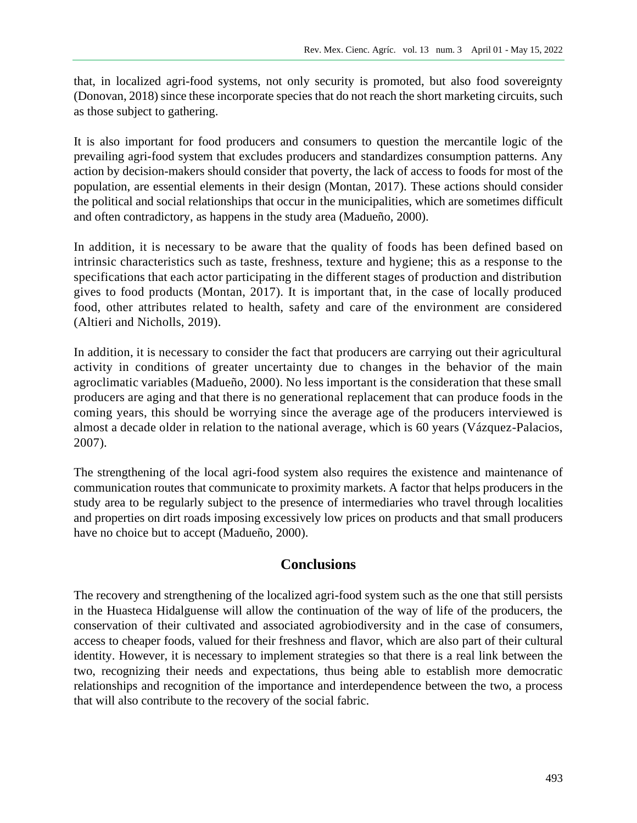that, in localized agri-food systems, not only security is promoted, but also food sovereignty (Donovan, 2018) since these incorporate species that do not reach the short marketing circuits, such as those subject to gathering.

It is also important for food producers and consumers to question the mercantile logic of the prevailing agri-food system that excludes producers and standardizes consumption patterns. Any action by decision-makers should consider that poverty, the lack of access to foods for most of the population, are essential elements in their design (Montan, 2017). These actions should consider the political and social relationships that occur in the municipalities, which are sometimes difficult and often contradictory, as happens in the study area (Madueño, 2000).

In addition, it is necessary to be aware that the quality of foods has been defined based on intrinsic characteristics such as taste, freshness, texture and hygiene; this as a response to the specifications that each actor participating in the different stages of production and distribution gives to food products (Montan, 2017). It is important that, in the case of locally produced food, other attributes related to health, safety and care of the environment are considered (Altieri and Nicholls, 2019).

In addition, it is necessary to consider the fact that producers are carrying out their agricultural activity in conditions of greater uncertainty due to changes in the behavior of the main agroclimatic variables (Madueño, 2000). No less important is the consideration that these small producers are aging and that there is no generational replacement that can produce foods in the coming years, this should be worrying since the average age of the producers interviewed is almost a decade older in relation to the national average, which is 60 years (Vázquez-Palacios, 2007).

The strengthening of the local agri-food system also requires the existence and maintenance of communication routes that communicate to proximity markets. A factor that helps producers in the study area to be regularly subject to the presence of intermediaries who travel through localities and properties on dirt roads imposing excessively low prices on products and that small producers have no choice but to accept (Madueño, 2000).

# **Conclusions**

The recovery and strengthening of the localized agri-food system such as the one that still persists in the Huasteca Hidalguense will allow the continuation of the way of life of the producers, the conservation of their cultivated and associated agrobiodiversity and in the case of consumers, access to cheaper foods, valued for their freshness and flavor, which are also part of their cultural identity. However, it is necessary to implement strategies so that there is a real link between the two, recognizing their needs and expectations, thus being able to establish more democratic relationships and recognition of the importance and interdependence between the two, a process that will also contribute to the recovery of the social fabric.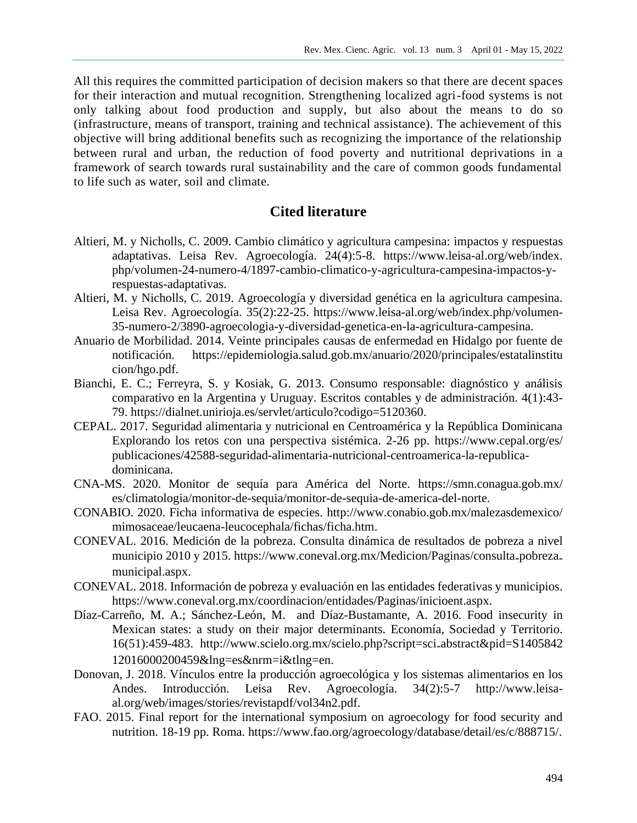All this requires the committed participation of decision makers so that there are decent spaces for their interaction and mutual recognition. Strengthening localized agri-food systems is not only talking about food production and supply, but also about the means to do so (infrastructure, means of transport, training and technical assistance). The achievement of this objective will bring additional benefits such as recognizing the importance of the relationship between rural and urban, the reduction of food poverty and nutritional deprivations in a framework of search towards rural sustainability and the care of common goods fundamental to life such as water, soil and climate.

## **Cited literature**

- Altieri, M. y Nicholls, C. 2009. Cambio climático y agricultura campesina: impactos y respuestas adaptativas. Leisa Rev. Agroecología. 24(4):5-8. [https://www.leisa-al.org/web/index.](https://www.leisa-al.org/web/index.%20php/volumen-24-numero-4/1897-cambio-climatico-y-agricultura-campesina-impactos-y-respuestas-adaptativas)  [php/volumen-24-numero-4/1897-cambio-climatico-y-agricultura-campesina-impactos-y](https://www.leisa-al.org/web/index.%20php/volumen-24-numero-4/1897-cambio-climatico-y-agricultura-campesina-impactos-y-respuestas-adaptativas)[respuestas-adaptativas.](https://www.leisa-al.org/web/index.%20php/volumen-24-numero-4/1897-cambio-climatico-y-agricultura-campesina-impactos-y-respuestas-adaptativas)
- Altieri, M. y Nicholls, C. 2019. Agroecología y diversidad genética en la agricultura campesina. Leisa Rev. Agroecología. 35(2):22-25. [https://www.leisa-al.org/web/index.php/volumen-](https://www.leisa-al.org/web/index.php/volumen-35-numero-2/3890-agroecologia-y-diversidad-genetica-en-la-agricultura-campesina)[35-numero-2/3890-agroecologia-y-diversidad-genetica-en-la-agricultura-campesina.](https://www.leisa-al.org/web/index.php/volumen-35-numero-2/3890-agroecologia-y-diversidad-genetica-en-la-agricultura-campesina)
- Anuario de Morbilidad. 2014. Veinte principales causas de enfermedad en Hidalgo por fuente de notificación. [https://epidemiologia.salud.gob.mx/anuario/2020/principales/estatalinstitu](https://epidemiologia.salud.gob.mx/anuario/2020/principales/estatalinstitu%20cion/hgo.pdf)  [cion/hgo.pdf.](https://epidemiologia.salud.gob.mx/anuario/2020/principales/estatalinstitu%20cion/hgo.pdf)
- Bianchi, E. C.; Ferreyra, S. y Kosiak, G. 2013. Consumo responsable: diagnóstico y análisis comparativo en la Argentina y Uruguay. Escritos contables y de administración. 4(1):43- 79. [https://dialnet.unirioja.es/servlet/articulo?codigo=5120360.](https://dialnet.unirioja.es/servlet/articulo?codigo=5120360)
- CEPAL. 2017. Seguridad alimentaria y nutricional en Centroamérica y la República Dominicana Explorando los retos con una perspectiva sistémica. 2-26 pp.<https://www.cepal.org/es/> publicaciones/42588-seguridad-alimentaria-nutricional-centroamerica-la-republicadominicana.
- CNA-MS. 2020. Monitor de sequía para América del Norte. [https://smn.conagua.gob.mx/](https://smn.conagua.gob.mx/%20es/climatologia/monitor-de-sequia/monitor-de-sequia-de-america-del-norte)  [es/climatologia/monitor-de-sequia/monitor-de-sequia-de-america-del-norte.](https://smn.conagua.gob.mx/%20es/climatologia/monitor-de-sequia/monitor-de-sequia-de-america-del-norte)
- CONABIO. 2020. Ficha informativa de especies. [http://www.conabio.gob.mx/malezasdemexico/](http://www.conabio.gob.mx/malezasdemexico/%20mimosaceae/leucaena-leucocephala/fichas/ficha.htm)  [mimosaceae/leucaena-leucocephala/fichas/ficha.htm.](http://www.conabio.gob.mx/malezasdemexico/%20mimosaceae/leucaena-leucocephala/fichas/ficha.htm)
- CONEVAL. 2016. Medición de la pobreza. Consulta dinámica de resultados de pobreza a nivel municipio 2010 y 2015. [https://www.coneval.org.mx/Medicion/Paginas/consulta-pobreza](https://www.coneval.org.mx/Medicion/Paginas/consulta-pobreza-municipal.aspx)[municipal.aspx.](https://www.coneval.org.mx/Medicion/Paginas/consulta-pobreza-municipal.aspx)
- CONEVAL. 2018. Información de pobreza y evaluación en las entidades federativas y municipios. [https://www.coneval.org.mx/coordinacion/entidades/Paginas/inicioent.aspx.](https://www.coneval.org.mx/coordinacion/entidades/Paginas/inicioent.aspx)
- Díaz-Carreño, M. A.; Sánchez-León, M. and Díaz-Bustamante, A. 2016. Food insecurity in Mexican states: a study on their major determinants. Economía, Sociedad y Territorio. 16(51):459-483. [http://www.scielo.org.mx/scielo.php?script=sci-abstract&pid=S1405842](http://www.scielo.org.mx/scielo.php?script=sci-abstract&pid=S1405842%2012016000200459&lng=es&nrm=i&tlng=en)  [12016000200459&lng=es&nrm=i&tlng=en.](http://www.scielo.org.mx/scielo.php?script=sci-abstract&pid=S1405842%2012016000200459&lng=es&nrm=i&tlng=en)
- Donovan, J. 2018. Vínculos entre la producción agroecológica y los sistemas alimentarios en los Andes. Introducción. Leisa Rev. Agroecología. 34(2):5-7 [http://www.leisa](http://www.leisa-al.org/web/images/stories/revistapdf/vol34n2.pdf)[al.org/web/images/stories/revistapdf/vol34n2.pdf.](http://www.leisa-al.org/web/images/stories/revistapdf/vol34n2.pdf)
- FAO. 2015. Final report for the international symposium on agroecology for food security and nutrition. 18-19 pp. Roma. [https://www.fao.org/agroecology/database/detail/es/c/888715/.](https://www.fao.org/agroecology/database/detail/es/c/888715/)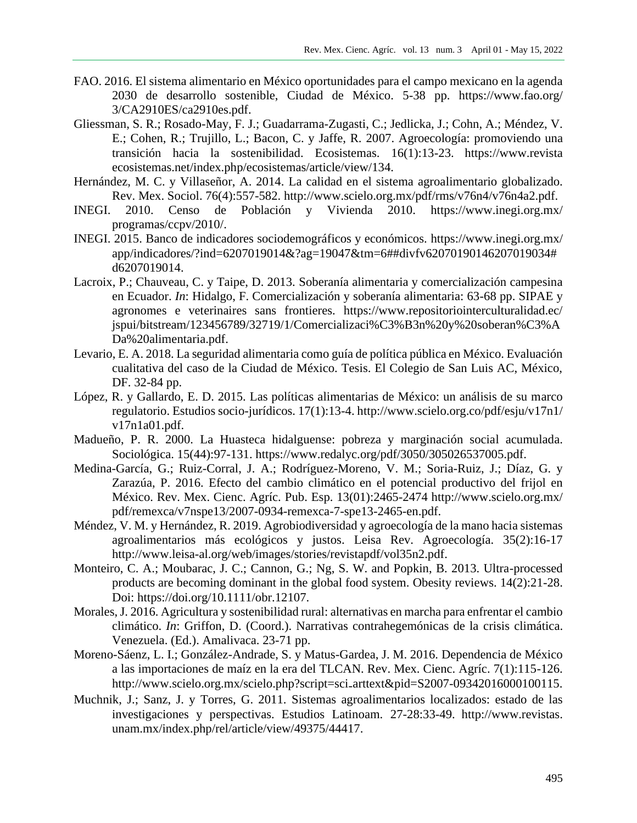- FAO. 2016. El sistema alimentario en México oportunidades para el campo mexicano en la agenda 2030 de desarrollo sostenible, Ciudad de México. 5-38 pp. [https://www.fao.org/](https://www.fao.org/%203/CA2910ES/ca2910es.pdf)  [3/CA2910ES/ca2910es.pdf.](https://www.fao.org/%203/CA2910ES/ca2910es.pdf)
- Gliessman, S. R.; Rosado-May, F. J.; Guadarrama-Zugasti, C.; Jedlicka, J.; Cohn, A.; Méndez, V. E.; Cohen, R.; Trujillo, L.; Bacon, C. y Jaffe, R. 2007. Agroecología: promoviendo una transición hacia la sostenibilidad. Ecosistemas. 16(1):13-23. https://www.revista ecosistemas.net/index.php/ecosistemas/article/view/134.
- Hernández, M. C. y Villaseñor, A. 2014. La calidad en el sistema agroalimentario globalizado. Rev. Mex. Sociol. 76(4):557-582. [http://www.scielo.org.mx/pdf/rms/v76n4/v76n4a2.pdf.](http://www.scielo.org.mx/pdf/rms/v76n4/v76n4a2.pdf)
- INEGI. 2010. Censo de Población y Vivienda 2010. [https://www.inegi.org.mx/](https://www.inegi.org.mx/%20programas/ccpv/2010/)  [programas/ccpv/2010/.](https://www.inegi.org.mx/%20programas/ccpv/2010/)
- INEGI. 2015. Banco de indicadores sociodemográficos y económicos. [https://www.inegi.org.mx/](https://www.inegi.org.mx/%20app/indicadores/?ind=6207019014&?ag=19047&tm=6)  [app/indicadores/?ind=6207019014&?ag=19047&tm=6##divfv62070190146207019034#](https://www.inegi.org.mx/%20app/indicadores/?ind=6207019014&?ag=19047&tm=6) [d6207019014.](https://www.inegi.org.mx/%20app/indicadores/?ind=6207019014&?ag=19047&tm=6)
- Lacroix, P.; Chauveau, C. y Taipe, D. 2013. Soberanía alimentaria y comercialización campesina en Ecuador. *In*: Hidalgo, F. Comercialización y soberanía alimentaria: 63-68 pp. SIPAE y agronomes e veterinaires sans frontieres. [https://www.repositoriointerculturalidad.ec/](https://www.repositoriointerculturalidad.ec/%20jspui/bitstream/123456789/32719/1/Comercializaci%C3%B3n%20y%20soberan%C3%ADa%20alimentaria.pdf)  [jspui/bitstream/123456789/32719/1/Comercializaci%C3%B3n%20y%20soberan%C3%A](https://www.repositoriointerculturalidad.ec/%20jspui/bitstream/123456789/32719/1/Comercializaci%C3%B3n%20y%20soberan%C3%ADa%20alimentaria.pdf) [Da%20alimentaria.pdf.](https://www.repositoriointerculturalidad.ec/%20jspui/bitstream/123456789/32719/1/Comercializaci%C3%B3n%20y%20soberan%C3%ADa%20alimentaria.pdf)
- Levario, E. A. 2018. La seguridad alimentaria como guía de política pública en México. Evaluación cualitativa del caso de la Ciudad de México. Tesis. El Colegio de San Luis AC, México, DF. 32-84 pp.
- López, R. y Gallardo, E. D. 2015. Las políticas alimentarias de México: un análisis de su marco regulatorio. Estudios socio-jurídicos. 17(1):13-4. [http://www.scielo.org.co/pdf/esju/v17n1/](http://www.scielo.org.co/pdf/esju/v17n1/%20v17n1a01.pdf)  [v17n1a01.pdf.](http://www.scielo.org.co/pdf/esju/v17n1/%20v17n1a01.pdf)
- Madueño, P. R. 2000. La Huasteca hidalguense: pobreza y marginación social acumulada. Sociológica. 15(44):97-131. [https://www.redalyc.org/pdf/3050/305026537005.pdf.](https://www.redalyc.org/pdf/3050/305026537005.pdf)
- Medina-García, G.; Ruiz-Corral, J. A.; Rodríguez-Moreno, V. M.; Soria-Ruiz, J.; Díaz, G. y Zarazúa, P. 2016. Efecto del cambio climático en el potencial productivo del frijol en México. Rev. Mex. Cienc. Agríc. Pub. Esp. 13(01):2465-2474 [http://www.scielo.org.mx/](http://www.scielo.org.mx/%20pdf/remexca/v7nspe13/2007-0934-remexca-7-spe13-2465-en.pdf)  [pdf/remexca/v7nspe13/2007-0934-remexca-7-spe13-2465-en.pdf.](http://www.scielo.org.mx/%20pdf/remexca/v7nspe13/2007-0934-remexca-7-spe13-2465-en.pdf)
- Méndez, V. M. y Hernández, R. 2019. Agrobiodiversidad y agroecología de la mano hacia sistemas agroalimentarios más ecológicos y justos. Leisa Rev. Agroecología. 35(2):16-17 [http://www.leisa-al.org/web/images/stories/revistapdf/vol35n2.pdf.](http://www.leisa-al.org/web/images/stories/revistapdf/vol35n2.pdf)
- Monteiro, C. A.; Moubarac, J. C.; Cannon, G.; Ng, S. W. and Popkin, B. 2013. Ultra-processed products are becoming dominant in the global food system. Obesity reviews. 14(2):21-28. Doi: [https://doi.org/10.1111/obr.12107.](https://doi.org/10.1111/obr.12107)
- Morales, J. 2016. Agricultura y sostenibilidad rural: alternativas en marcha para enfrentar el cambio climático. *In*: Griffon, D. (Coord.). Narrativas contrahegemónicas de la crisis climática. Venezuela. (Ed.). Amalivaca. 23-71 pp.
- Moreno-Sáenz, L. I.; González-Andrade, S. y Matus-Gardea, J. M. 2016. Dependencia de México a las importaciones de maíz en la era del TLCAN. Rev. Mex. Cienc. Agríc. 7(1):115-126. http://www.scielo.org.mx/scielo.php?script=sci.arttext&pid=S2007-09342016000100115.
- Muchnik, J.; Sanz, J. y Torres, G. 2011. Sistemas agroalimentarios localizados: estado de las investigaciones y perspectivas. Estudios Latinoam. 27-28:33-49. http://www.revistas. unam.mx/index.php/rel/article/view/49375/44417.